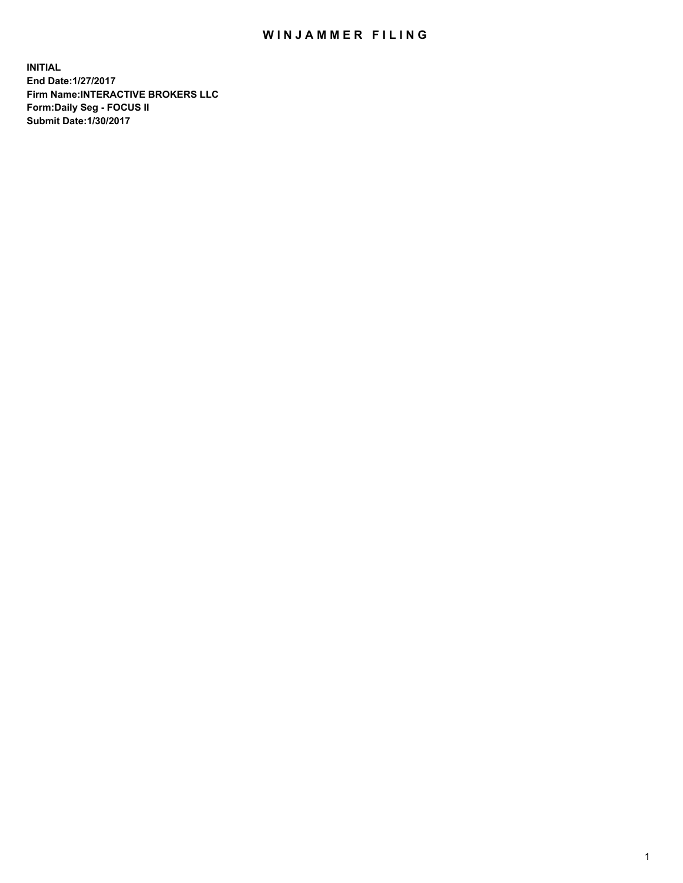## WIN JAMMER FILING

**INITIAL End Date:1/27/2017 Firm Name:INTERACTIVE BROKERS LLC Form:Daily Seg - FOCUS II Submit Date:1/30/2017**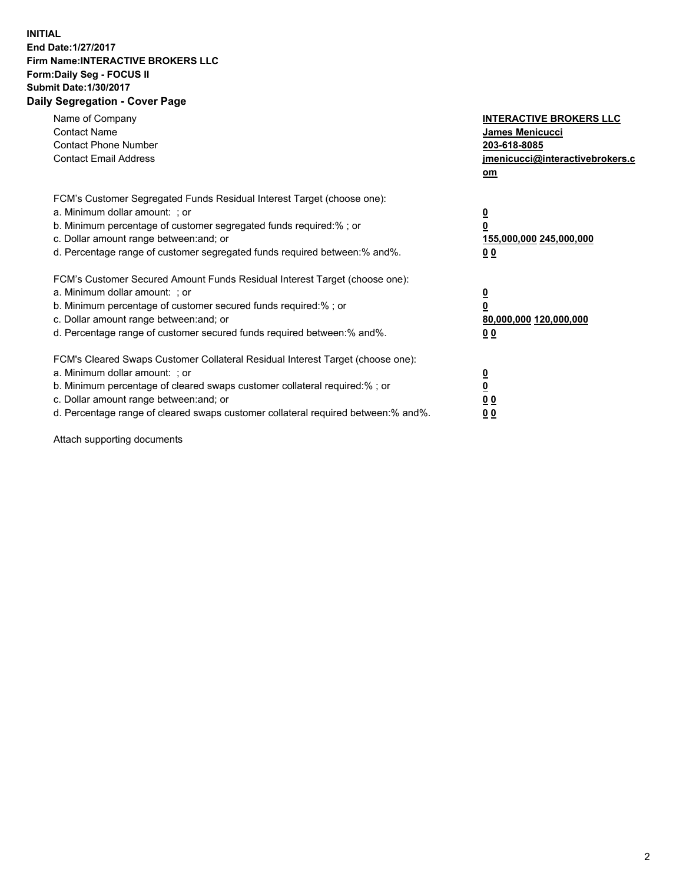## **INITIAL End Date:1/27/2017 Firm Name:INTERACTIVE BROKERS LLC Form:Daily Seg - FOCUS II Submit Date:1/30/2017 Daily Segregation - Cover Page**

| Name of Company<br><b>Contact Name</b><br><b>Contact Phone Number</b><br><b>Contact Email Address</b>                                                                                                                                                                                                                          | <b>INTERACTIVE BROKERS LLC</b><br><b>James Menicucci</b><br>203-618-8085<br>jmenicucci@interactivebrokers.c<br>om |
|--------------------------------------------------------------------------------------------------------------------------------------------------------------------------------------------------------------------------------------------------------------------------------------------------------------------------------|-------------------------------------------------------------------------------------------------------------------|
| FCM's Customer Segregated Funds Residual Interest Target (choose one):<br>a. Minimum dollar amount: ; or<br>b. Minimum percentage of customer segregated funds required:%; or<br>c. Dollar amount range between: and; or<br>d. Percentage range of customer segregated funds required between:% and%.                          | $\overline{\mathbf{0}}$<br>0<br>155,000,000 245,000,000<br>0 <sub>0</sub>                                         |
| FCM's Customer Secured Amount Funds Residual Interest Target (choose one):<br>a. Minimum dollar amount: ; or<br>b. Minimum percentage of customer secured funds required:%; or<br>c. Dollar amount range between: and; or<br>d. Percentage range of customer secured funds required between: % and %.                          | $\overline{\mathbf{0}}$<br>0<br>80,000,000 120,000,000<br>0 <sub>0</sub>                                          |
| FCM's Cleared Swaps Customer Collateral Residual Interest Target (choose one):<br>a. Minimum dollar amount: ; or<br>b. Minimum percentage of cleared swaps customer collateral required:% ; or<br>c. Dollar amount range between: and; or<br>d. Percentage range of cleared swaps customer collateral required between:% and%. | $\overline{\mathbf{0}}$<br>$\overline{\mathbf{0}}$<br>0 <sub>0</sub><br><u>00</u>                                 |

Attach supporting documents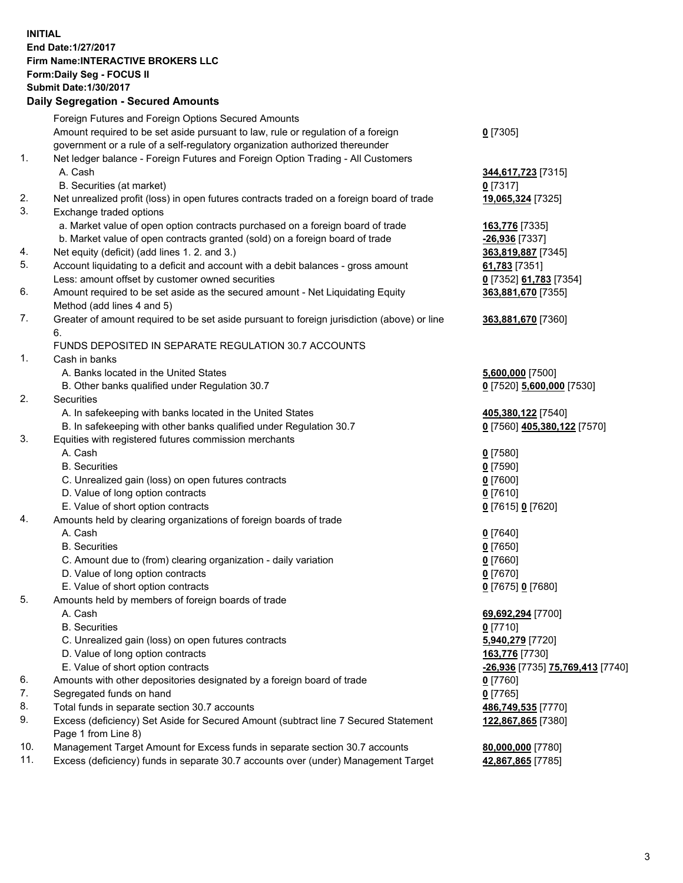## **INITIAL End Date:1/27/2017 Firm Name:INTERACTIVE BROKERS LLC Form:Daily Seg - FOCUS II Submit Date:1/30/2017 Daily Segregation - Secured Amounts**

|     | Pany Obgrogation Obbarba / 11110ani                                                                        |                                  |
|-----|------------------------------------------------------------------------------------------------------------|----------------------------------|
|     | Foreign Futures and Foreign Options Secured Amounts                                                        |                                  |
|     | Amount required to be set aside pursuant to law, rule or regulation of a foreign                           | $0$ [7305]                       |
|     | government or a rule of a self-regulatory organization authorized thereunder                               |                                  |
| 1.  | Net ledger balance - Foreign Futures and Foreign Option Trading - All Customers                            |                                  |
|     | A. Cash                                                                                                    | 344,617,723 [7315]               |
|     | B. Securities (at market)                                                                                  | $0$ [7317]                       |
| 2.  | Net unrealized profit (loss) in open futures contracts traded on a foreign board of trade                  | 19,065,324 [7325]                |
| 3.  | Exchange traded options                                                                                    |                                  |
|     | a. Market value of open option contracts purchased on a foreign board of trade                             | 163,776 [7335]                   |
|     | b. Market value of open contracts granted (sold) on a foreign board of trade                               | -26,936 [7337]                   |
| 4.  | Net equity (deficit) (add lines 1.2. and 3.)                                                               | 363,819,887 [7345]               |
| 5.  | Account liquidating to a deficit and account with a debit balances - gross amount                          | 61,783 [7351]                    |
|     | Less: amount offset by customer owned securities                                                           | 0 [7352] 61,783 [7354]           |
| 6.  | Amount required to be set aside as the secured amount - Net Liquidating Equity                             | 363,881,670 [7355]               |
|     | Method (add lines 4 and 5)                                                                                 |                                  |
| 7.  | Greater of amount required to be set aside pursuant to foreign jurisdiction (above) or line                | 363,881,670 [7360]               |
|     | 6.                                                                                                         |                                  |
|     | FUNDS DEPOSITED IN SEPARATE REGULATION 30.7 ACCOUNTS                                                       |                                  |
| 1.  | Cash in banks                                                                                              |                                  |
|     | A. Banks located in the United States                                                                      | 5,600,000 [7500]                 |
|     | B. Other banks qualified under Regulation 30.7                                                             | 0 [7520] 5,600,000 [7530]        |
| 2.  | Securities                                                                                                 |                                  |
|     | A. In safekeeping with banks located in the United States                                                  | 405,380,122 [7540]               |
|     | B. In safekeeping with other banks qualified under Regulation 30.7                                         | 0 [7560] 405,380,122 [7570]      |
| 3.  | Equities with registered futures commission merchants                                                      |                                  |
|     | A. Cash                                                                                                    | $0$ [7580]                       |
|     | <b>B.</b> Securities                                                                                       | $0$ [7590]                       |
|     | C. Unrealized gain (loss) on open futures contracts                                                        | $0$ [7600]                       |
|     | D. Value of long option contracts                                                                          | $0$ [7610]                       |
|     | E. Value of short option contracts                                                                         | 0 [7615] 0 [7620]                |
| 4.  | Amounts held by clearing organizations of foreign boards of trade                                          |                                  |
|     | A. Cash                                                                                                    | $0$ [7640]                       |
|     | <b>B.</b> Securities                                                                                       | $0$ [7650]                       |
|     | C. Amount due to (from) clearing organization - daily variation                                            | $0$ [7660]                       |
|     | D. Value of long option contracts                                                                          | $0$ [7670]                       |
|     | E. Value of short option contracts                                                                         | 0 [7675] 0 [7680]                |
| 5.  | Amounts held by members of foreign boards of trade                                                         |                                  |
|     | A. Cash                                                                                                    | 69,692,294 [7700]                |
|     | <b>B.</b> Securities                                                                                       | $0$ [7710]                       |
|     | C. Unrealized gain (loss) on open futures contracts                                                        | 5,940,279 [7720]                 |
|     | D. Value of long option contracts                                                                          | 163,776 [7730]                   |
|     | E. Value of short option contracts                                                                         | -26,936 [7735] 75,769,413 [7740] |
| 6.  | Amounts with other depositories designated by a foreign board of trade                                     | 0 [7760]                         |
| 7.  | Segregated funds on hand                                                                                   | $0$ [7765]                       |
| 8.  | Total funds in separate section 30.7 accounts                                                              | 486,749,535 [7770]               |
| 9.  | Excess (deficiency) Set Aside for Secured Amount (subtract line 7 Secured Statement<br>Page 1 from Line 8) | 122,867,865 [7380]               |
| 10. | Management Target Amount for Excess funds in separate section 30.7 accounts                                | 80,000,000 [7780]                |
| 11. | Excess (deficiency) funds in separate 30.7 accounts over (under) Management Target                         | 42,867,865 [7785]                |
|     |                                                                                                            |                                  |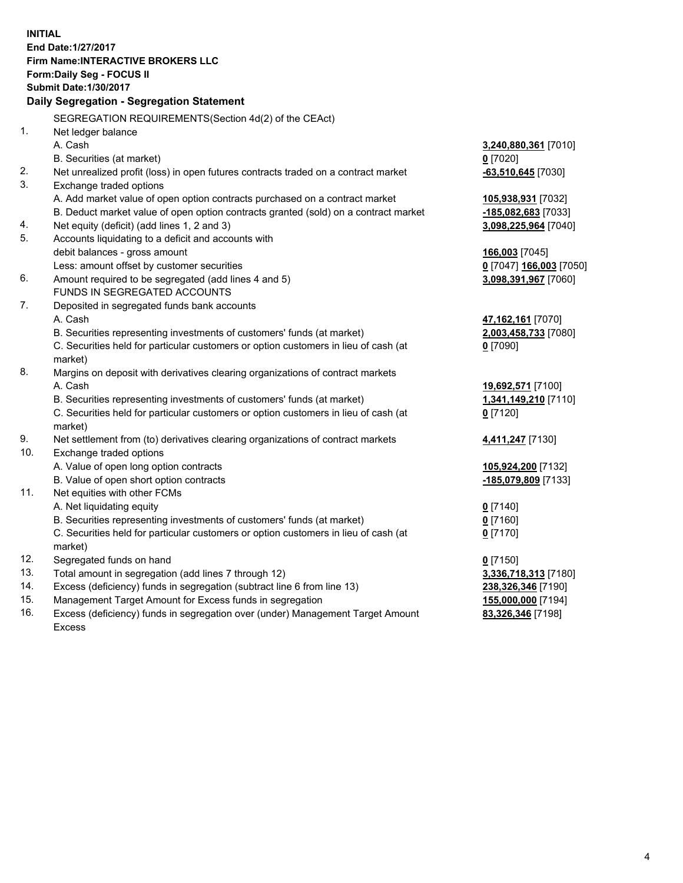**INITIAL End Date:1/27/2017 Firm Name:INTERACTIVE BROKERS LLC Form:Daily Seg - FOCUS II Submit Date:1/30/2017 Daily Segregation - Segregation Statement** SEGREGATION REQUIREMENTS(Section 4d(2) of the CEAct) 1. Net ledger balance A. Cash **3,240,880,361** [7010] B. Securities (at market) **0** [7020] 2. Net unrealized profit (loss) in open futures contracts traded on a contract market **-63,510,645** [7030] 3. Exchange traded options A. Add market value of open option contracts purchased on a contract market **105,938,931** [7032] B. Deduct market value of open option contracts granted (sold) on a contract market **-185,082,683** [7033] 4. Net equity (deficit) (add lines 1, 2 and 3) **3,098,225,964** [7040] 5. Accounts liquidating to a deficit and accounts with debit balances - gross amount **166,003** [7045] Less: amount offset by customer securities **0** [7047] **166,003** [7050] 6. Amount required to be segregated (add lines 4 and 5) **3,098,391,967** [7060] FUNDS IN SEGREGATED ACCOUNTS 7. Deposited in segregated funds bank accounts A. Cash **47,162,161** [7070] B. Securities representing investments of customers' funds (at market) **2,003,458,733** [7080] C. Securities held for particular customers or option customers in lieu of cash (at market) **0** [7090] 8. Margins on deposit with derivatives clearing organizations of contract markets A. Cash **19,692,571** [7100] B. Securities representing investments of customers' funds (at market) **1,341,149,210** [7110] C. Securities held for particular customers or option customers in lieu of cash (at market) **0** [7120] 9. Net settlement from (to) derivatives clearing organizations of contract markets **4,411,247** [7130] 10. Exchange traded options A. Value of open long option contracts **105,924,200** [7132] B. Value of open short option contracts **-185,079,809** [7133] 11. Net equities with other FCMs A. Net liquidating equity **0** [7140] B. Securities representing investments of customers' funds (at market) **0** [7160] C. Securities held for particular customers or option customers in lieu of cash (at market) **0** [7170] 12. Segregated funds on hand **0** [7150] 13. Total amount in segregation (add lines 7 through 12) **3,336,718,313** [7180] 14. Excess (deficiency) funds in segregation (subtract line 6 from line 13) **238,326,346** [7190] 15. Management Target Amount for Excess funds in segregation **155,000,000** [7194]

16. Excess (deficiency) funds in segregation over (under) Management Target Amount Excess

**83,326,346** [7198]